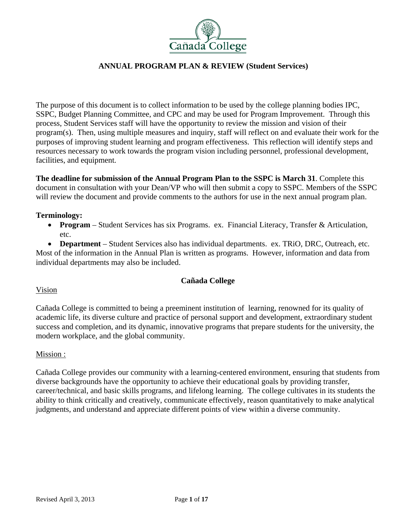

The purpose of this document is to collect information to be used by the college planning bodies IPC, SSPC, Budget Planning Committee, and CPC and may be used for Program Improvement. Through this process, Student Services staff will have the opportunity to review the mission and vision of their program(s). Then, using multiple measures and inquiry, staff will reflect on and evaluate their work for the purposes of improving student learning and program effectiveness. This reflection will identify steps and resources necessary to work towards the program vision including personnel, professional development, facilities, and equipment*.* 

**The deadline for submission of the Annual Program Plan to the SSPC is March 31**. Complete this document in consultation with your Dean/VP who will then submit a copy to SSPC. Members of the SSPC will review the document and provide comments to the authors for use in the next annual program plan.

## **Terminology:**

 **Program** – Student Services has six Programs. ex. Financial Literacy, Transfer & Articulation, etc.

 **Department** – Student Services also has individual departments. ex. TRiO, DRC, Outreach, etc. Most of the information in the Annual Plan is written as programs. However, information and data from individual departments may also be included.

# **Cañada College**

#### Vision

Cañada College is committed to being a preeminent institution of learning, renowned for its quality of academic life, its diverse culture and practice of personal support and development, extraordinary student success and completion, and its dynamic, innovative programs that prepare students for the university, the modern workplace, and the global community.

#### Mission :

Cañada College provides our community with a learning-centered environment, ensuring that students from diverse backgrounds have the opportunity to achieve their educational goals by providing transfer, career/technical, and basic skills programs, and lifelong learning. The college cultivates in its students the ability to think critically and creatively, communicate effectively, reason quantitatively to make analytical judgments, and understand and appreciate different points of view within a diverse community.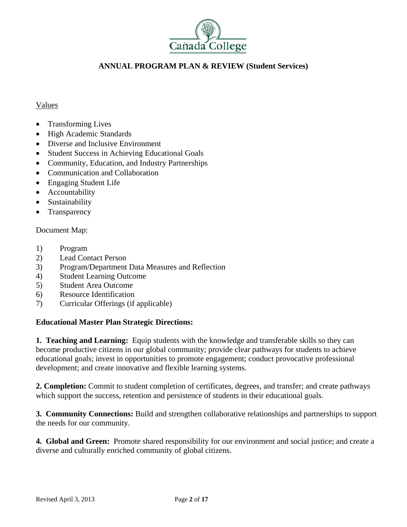

## Values

- Transforming Lives
- High Academic Standards
- Diverse and Inclusive Environment
- Student Success in Achieving Educational Goals
- Community, Education, and Industry Partnerships
- Communication and Collaboration
- Engaging Student Life
- Accountability
- Sustainability
- Transparency

# Document Map:

- 1) Program
- 2) Lead Contact Person
- 3) Program/Department Data Measures and Reflection
- 4) Student Learning Outcome
- 5) Student Area Outcome
- 6) Resource Identification
- 7) Curricular Offerings (if applicable)

# **Educational Master Plan Strategic Directions:**

**1. Teaching and Learning:** Equip students with the knowledge and transferable skills so they can become productive citizens in our global community; provide clear pathways for students to achieve educational goals; invest in opportunities to promote engagement; conduct provocative professional development; and create innovative and flexible learning systems.

**2. Completion:** Commit to student completion of certificates, degrees, and transfer; and create pathways which support the success, retention and persistence of students in their educational goals.

**3. Community Connections:** Build and strengthen collaborative relationships and partnerships to support the needs for our community.

**4. Global and Green:** Promote shared responsibility for our environment and social justice; and create a diverse and culturally enriched community of global citizens.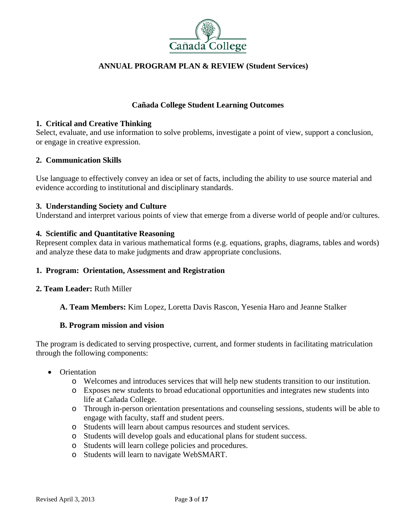

## **Cañada College Student Learning Outcomes**

#### **1. Critical and Creative Thinking**

Select, evaluate, and use information to solve problems, investigate a point of view, support a conclusion, or engage in creative expression.

#### **2. Communication Skills**

Use language to effectively convey an idea or set of facts, including the ability to use source material and evidence according to institutional and disciplinary standards.

#### **3. Understanding Society and Culture**

Understand and interpret various points of view that emerge from a diverse world of people and/or cultures.

#### **4. Scientific and Quantitative Reasoning**

Represent complex data in various mathematical forms (e.g. equations, graphs, diagrams, tables and words) and analyze these data to make judgments and draw appropriate conclusions.

#### **1. Program: Orientation, Assessment and Registration**

#### **2. Team Leader:** Ruth Miller

#### **A. Team Members:** Kim Lopez, Loretta Davis Rascon, Yesenia Haro and Jeanne Stalker

#### **B. Program mission and vision**

The program is dedicated to serving prospective, current, and former students in facilitating matriculation through the following components:

- Orientation
	- o Welcomes and introduces services that will help new students transition to our institution.
	- o Exposes new students to broad educational opportunities and integrates new students into life at Cañada College.
	- o Through in-person orientation presentations and counseling sessions, students will be able to engage with faculty, staff and student peers.
	- o Students will learn about campus resources and student services.
	- o Students will develop goals and educational plans for student success.
	- o Students will learn college policies and procedures.
	- o Students will learn to navigate WebSMART.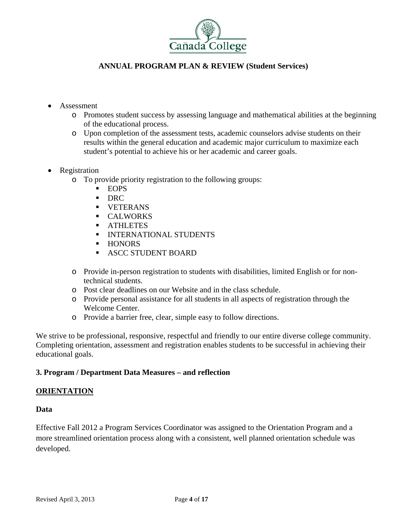

- Assessment
	- o Promotes student success by assessing language and mathematical abilities at the beginning of the educational process.
	- o Upon completion of the assessment tests, academic counselors advise students on their results within the general education and academic major curriculum to maximize each student's potential to achieve his or her academic and career goals.
- Registration
	- o To provide priority registration to the following groups:
		- **EOPS**
		- **DRC**
		- **UETERANS**
		- **CALWORKS**
		- **ATHLETES**
		- **INTERNATIONAL STUDENTS**
		- **HONORS**
		- **ASCC STUDENT BOARD**
	- o Provide in-person registration to students with disabilities, limited English or for nontechnical students.
	- o Post clear deadlines on our Website and in the class schedule.
	- o Provide personal assistance for all students in all aspects of registration through the Welcome Center.
	- o Provide a barrier free, clear, simple easy to follow directions.

We strive to be professional, responsive, respectful and friendly to our entire diverse college community. Completing orientation, assessment and registration enables students to be successful in achieving their educational goals.

# **3. Program / Department Data Measures – and reflection**

# **ORIENTATION**

#### **Data**

Effective Fall 2012 a Program Services Coordinator was assigned to the Orientation Program and a more streamlined orientation process along with a consistent, well planned orientation schedule was developed.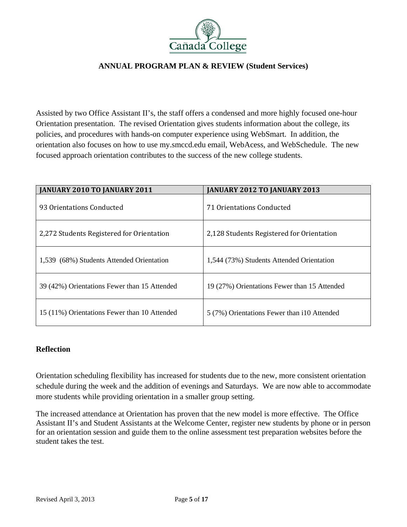

Assisted by two Office Assistant II's, the staff offers a condensed and more highly focused one-hour Orientation presentation. The revised Orientation gives students information about the college, its policies, and procedures with hands-on computer experience using WebSmart. In addition, the orientation also focuses on how to use my.smccd.edu email, WebAcess, and WebSchedule. The new focused approach orientation contributes to the success of the new college students.

| JANUARY 2010 TO JANUARY 2011                 | <b>JANUARY 2012 TO JANUARY 2013</b>          |
|----------------------------------------------|----------------------------------------------|
| 93 Orientations Conducted                    | 71 Orientations Conducted                    |
| 2,272 Students Registered for Orientation    | 2,128 Students Registered for Orientation    |
| 1,539 (68%) Students Attended Orientation    | 1,544 (73%) Students Attended Orientation    |
| 39 (42%) Orientations Fewer than 15 Attended | 19 (27%) Orientations Fewer than 15 Attended |
| 15 (11%) Orientations Fewer than 10 Attended | 5 (7%) Orientations Fewer than i10 Attended  |

# **Reflection**

Orientation scheduling flexibility has increased for students due to the new, more consistent orientation schedule during the week and the addition of evenings and Saturdays. We are now able to accommodate more students while providing orientation in a smaller group setting.

The increased attendance at Orientation has proven that the new model is more effective. The Office Assistant II's and Student Assistants at the Welcome Center, register new students by phone or in person for an orientation session and guide them to the online assessment test preparation websites before the student takes the test.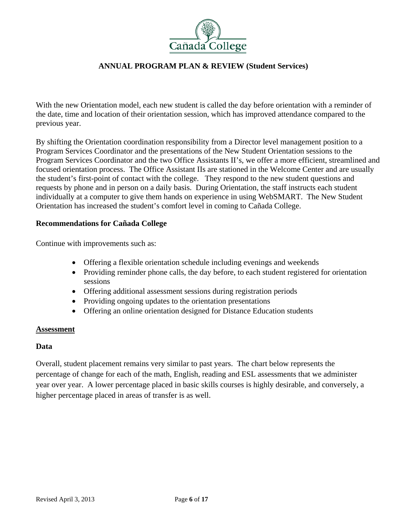

With the new Orientation model, each new student is called the day before orientation with a reminder of the date, time and location of their orientation session, which has improved attendance compared to the previous year.

By shifting the Orientation coordination responsibility from a Director level management position to a Program Services Coordinator and the presentations of the New Student Orientation sessions to the Program Services Coordinator and the two Office Assistants II's, we offer a more efficient, streamlined and focused orientation process. The Office Assistant IIs are stationed in the Welcome Center and are usually the student's first-point of contact with the college. They respond to the new student questions and requests by phone and in person on a daily basis. During Orientation, the staff instructs each student individually at a computer to give them hands on experience in using WebSMART. The New Student Orientation has increased the student's comfort level in coming to Cañada College.

## **Recommendations for Cañada College**

Continue with improvements such as:

- Offering a flexible orientation schedule including evenings and weekends
- Providing reminder phone calls, the day before, to each student registered for orientation sessions
- Offering additional assessment sessions during registration periods
- Providing ongoing updates to the orientation presentations
- Offering an online orientation designed for Distance Education students

#### **Assessment**

# **Data**

Overall, student placement remains very similar to past years. The chart below represents the percentage of change for each of the math, English, reading and ESL assessments that we administer year over year. A lower percentage placed in basic skills courses is highly desirable, and conversely, a higher percentage placed in areas of transfer is as well.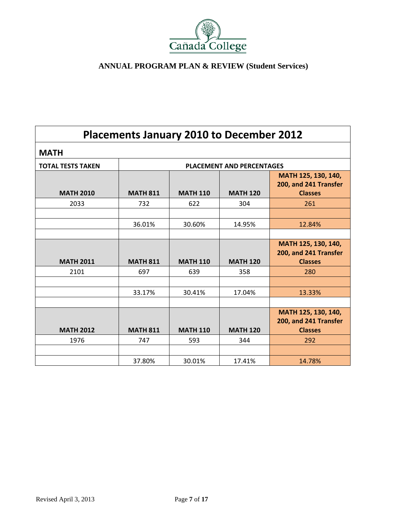

| Placements January 2010 to December 2012 |                 |                 |                                  |                                                                |
|------------------------------------------|-----------------|-----------------|----------------------------------|----------------------------------------------------------------|
| <b>MATH</b>                              |                 |                 |                                  |                                                                |
| <b>TOTAL TESTS TAKEN</b>                 |                 |                 | <b>PLACEMENT AND PERCENTAGES</b> |                                                                |
| <b>MATH 2010</b>                         | <b>MATH 811</b> | <b>MATH 110</b> | <b>MATH 120</b>                  | MATH 125, 130, 140,<br>200, and 241 Transfer<br><b>Classes</b> |
| 2033                                     | 732             | 622             | 304                              | 261                                                            |
|                                          | 36.01%          | 30.60%          | 14.95%                           | 12.84%                                                         |
| <b>MATH 2011</b>                         | <b>MATH 811</b> | <b>MATH 110</b> | <b>MATH 120</b>                  | MATH 125, 130, 140,<br>200, and 241 Transfer<br><b>Classes</b> |
| 2101                                     | 697             | 639             | 358                              | 280                                                            |
|                                          | 33.17%          | 30.41%          | 17.04%                           | 13.33%                                                         |
| <b>MATH 2012</b>                         | <b>MATH 811</b> | <b>MATH 110</b> | <b>MATH 120</b>                  | MATH 125, 130, 140,<br>200, and 241 Transfer<br><b>Classes</b> |
| 1976                                     | 747             | 593             | 344                              | 292                                                            |
|                                          |                 |                 |                                  |                                                                |
|                                          | 37.80%          | 30.01%          | 17.41%                           | 14.78%                                                         |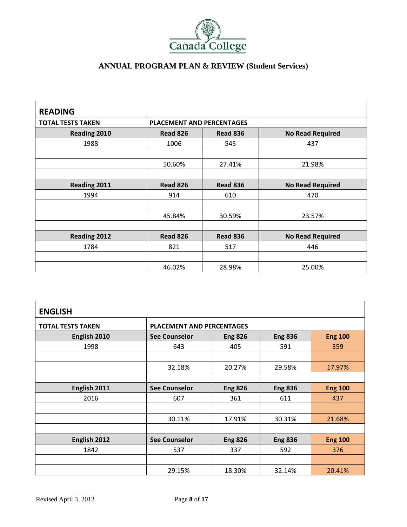

| <b>READING</b>           |                 |                                            |                         |  |  |  |  |
|--------------------------|-----------------|--------------------------------------------|-------------------------|--|--|--|--|
| <b>TOTAL TESTS TAKEN</b> |                 | <b>PLACEMENT AND PERCENTAGES</b>           |                         |  |  |  |  |
| Reading 2010             | <b>Read 826</b> | <b>No Read Required</b><br><b>Read 836</b> |                         |  |  |  |  |
| 1988                     | 1006            | 545                                        | 437                     |  |  |  |  |
|                          |                 |                                            |                         |  |  |  |  |
|                          | 50.60%          | 27.41%                                     | 21.98%                  |  |  |  |  |
|                          |                 |                                            |                         |  |  |  |  |
| Reading 2011             | <b>Read 826</b> | <b>Read 836</b>                            | <b>No Read Required</b> |  |  |  |  |
| 1994                     | 914             | 610                                        | 470                     |  |  |  |  |
|                          |                 |                                            |                         |  |  |  |  |
|                          | 45.84%          | 30.59%                                     | 23.57%                  |  |  |  |  |
|                          |                 |                                            |                         |  |  |  |  |
| <b>Reading 2012</b>      | <b>Read 826</b> | <b>Read 836</b>                            | <b>No Read Required</b> |  |  |  |  |
| 1784                     | 821             | 517                                        | 446                     |  |  |  |  |
|                          |                 |                                            |                         |  |  |  |  |
|                          | 46.02%          | 28.98%                                     | 25.00%                  |  |  |  |  |

| <b>ENGLISH</b>           |                      |                                                    |                |                |  |  |  |
|--------------------------|----------------------|----------------------------------------------------|----------------|----------------|--|--|--|
| <b>TOTAL TESTS TAKEN</b> |                      | <b>PLACEMENT AND PERCENTAGES</b>                   |                |                |  |  |  |
| English 2010             | <b>See Counselor</b> | <b>Eng 100</b><br><b>Eng 826</b><br><b>Eng 836</b> |                |                |  |  |  |
| 1998                     | 643                  | 405                                                | 591            | 359            |  |  |  |
|                          |                      |                                                    |                |                |  |  |  |
|                          | 32.18%               | 20.27%                                             | 29.58%         | 17.97%         |  |  |  |
|                          |                      |                                                    |                |                |  |  |  |
| English 2011             | <b>See Counselor</b> | <b>Eng 826</b>                                     | <b>Eng 836</b> | <b>Eng 100</b> |  |  |  |
| 2016                     | 607                  | 361                                                | 611            | 437            |  |  |  |
|                          |                      |                                                    |                |                |  |  |  |
|                          | 30.11%               | 17.91%                                             | 30.31%         | 21.68%         |  |  |  |
|                          |                      |                                                    |                |                |  |  |  |
| English 2012             | <b>See Counselor</b> | <b>Eng 826</b>                                     | <b>Eng 836</b> | <b>Eng 100</b> |  |  |  |
| 1842                     | 537                  | 337                                                | 592            | 376            |  |  |  |
|                          |                      |                                                    |                |                |  |  |  |
|                          | 29.15%               | 18.30%                                             | 32.14%         | 20.41%         |  |  |  |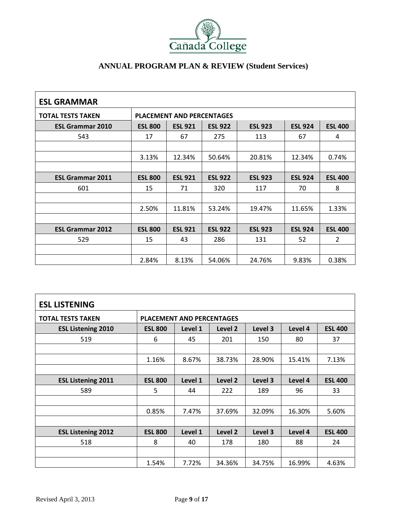

| <b>ESL GRAMMAR</b>       |                |                                  |                |                |                |                |
|--------------------------|----------------|----------------------------------|----------------|----------------|----------------|----------------|
| <b>TOTAL TESTS TAKEN</b> |                | <b>PLACEMENT AND PERCENTAGES</b> |                |                |                |                |
| <b>ESL Grammar 2010</b>  | <b>ESL 800</b> | <b>ESL 921</b>                   | <b>ESL 922</b> | <b>ESL 923</b> | <b>ESL 924</b> | <b>ESL 400</b> |
| 543                      | 17             | 67                               | 275            | 113            | 67             | 4              |
|                          |                |                                  |                |                |                |                |
|                          | 3.13%          | 12.34%                           | 50.64%         | 20.81%         | 12.34%         | 0.74%          |
|                          |                |                                  |                |                |                |                |
| <b>ESL Grammar 2011</b>  | <b>ESL 800</b> | <b>ESL 921</b>                   | <b>ESL 922</b> | <b>ESL 923</b> | <b>ESL 924</b> | <b>ESL 400</b> |
| 601                      | 15             | 71                               | 320            | 117            | 70             | 8              |
|                          |                |                                  |                |                |                |                |
|                          | 2.50%          | 11.81%                           | 53.24%         | 19.47%         | 11.65%         | 1.33%          |
|                          |                |                                  |                |                |                |                |
| <b>ESL Grammar 2012</b>  | <b>ESL 800</b> | <b>ESL 921</b>                   | <b>ESL 922</b> | <b>ESL 923</b> | <b>ESL 924</b> | <b>ESL 400</b> |
| 529                      | 15             | 43                               | 286            | 131            | 52             | $\overline{2}$ |
|                          |                |                                  |                |                |                |                |
|                          | 2.84%          | 8.13%                            | 54.06%         | 24.76%         | 9.83%          | 0.38%          |

| <b>ESL LISTENING</b>      |                                  |         |         |         |         |                |
|---------------------------|----------------------------------|---------|---------|---------|---------|----------------|
| <b>TOTAL TESTS TAKEN</b>  | <b>PLACEMENT AND PERCENTAGES</b> |         |         |         |         |                |
| <b>ESL Listening 2010</b> | <b>ESL 800</b>                   | Level 1 | Level 2 | Level 3 | Level 4 | <b>ESL 400</b> |
| 519                       | 6                                | 45      | 201     | 150     | 80      | 37             |
|                           |                                  |         |         |         |         |                |
|                           | 1.16%                            | 8.67%   | 38.73%  | 28.90%  | 15.41%  | 7.13%          |
|                           |                                  |         |         |         |         |                |
| <b>ESL Listening 2011</b> | <b>ESL 800</b>                   | Level 1 | Level 2 | Level 3 | Level 4 | <b>ESL 400</b> |
| 589                       | 5                                | 44      | 222     | 189     | 96      | 33             |
|                           |                                  |         |         |         |         |                |
|                           | 0.85%                            | 7.47%   | 37.69%  | 32.09%  | 16.30%  | 5.60%          |
|                           |                                  |         |         |         |         |                |
| <b>ESL Listening 2012</b> | <b>ESL 800</b>                   | Level 1 | Level 2 | Level 3 | Level 4 | <b>ESL 400</b> |
| 518                       | 8                                | 40      | 178     | 180     | 88      | 24             |
|                           |                                  |         |         |         |         |                |
|                           | 1.54%                            | 7.72%   | 34.36%  | 34.75%  | 16.99%  | 4.63%          |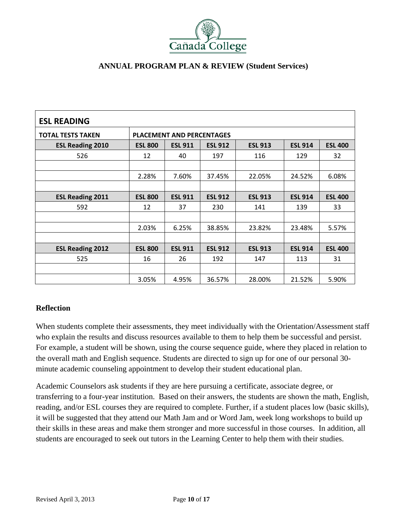

| <b>ESL READING</b>       |                                  |                |                |                |                |                |
|--------------------------|----------------------------------|----------------|----------------|----------------|----------------|----------------|
| <b>TOTAL TESTS TAKEN</b> | <b>PLACEMENT AND PERCENTAGES</b> |                |                |                |                |                |
| <b>ESL Reading 2010</b>  | <b>ESL 800</b>                   | <b>ESL 911</b> | <b>ESL 912</b> | <b>ESL 913</b> | <b>ESL 914</b> | <b>ESL 400</b> |
| 526                      | 12                               | 40             | 197            | 116            | 129            | 32             |
|                          |                                  |                |                |                |                |                |
|                          | 2.28%                            | 7.60%          | 37.45%         | 22.05%         | 24.52%         | 6.08%          |
|                          |                                  |                |                |                |                |                |
| <b>ESL Reading 2011</b>  | <b>ESL 800</b>                   | <b>ESL 911</b> | <b>ESL 912</b> | <b>ESL 913</b> | <b>ESL 914</b> | <b>ESL 400</b> |
| 592                      | 12                               | 37             | 230            | 141            | 139            | 33             |
|                          |                                  |                |                |                |                |                |
|                          | 2.03%                            | 6.25%          | 38.85%         | 23.82%         | 23.48%         | 5.57%          |
|                          |                                  |                |                |                |                |                |
| <b>ESL Reading 2012</b>  | <b>ESL 800</b>                   | <b>ESL 911</b> | <b>ESL 912</b> | <b>ESL 913</b> | <b>ESL 914</b> | <b>ESL 400</b> |
| 525                      | 16                               | 26             | 192            | 147            | 113            | 31             |
|                          |                                  |                |                |                |                |                |
|                          | 3.05%                            | 4.95%          | 36.57%         | 28.00%         | 21.52%         | 5.90%          |

# **Reflection**

When students complete their assessments, they meet individually with the Orientation/Assessment staff who explain the results and discuss resources available to them to help them be successful and persist. For example, a student will be shown, using the course sequence guide, where they placed in relation to the overall math and English sequence. Students are directed to sign up for one of our personal 30 minute academic counseling appointment to develop their student educational plan.

Academic Counselors ask students if they are here pursuing a certificate, associate degree, or transferring to a four-year institution. Based on their answers, the students are shown the math, English, reading, and/or ESL courses they are required to complete. Further, if a student places low (basic skills), it will be suggested that they attend our Math Jam and or Word Jam, week long workshops to build up their skills in these areas and make them stronger and more successful in those courses. In addition, all students are encouraged to seek out tutors in the Learning Center to help them with their studies.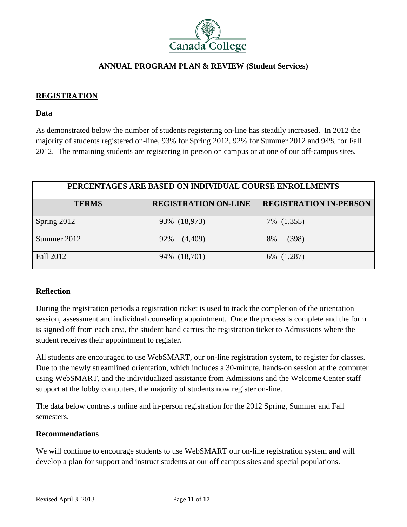

## **REGISTRATION**

#### **Data**

As demonstrated below the number of students registering on-line has steadily increased. In 2012 the majority of students registered on-line, 93% for Spring 2012, 92% for Summer 2012 and 94% for Fall 2012. The remaining students are registering in person on campus or at one of our off-campus sites.

| PERCENTAGES ARE BASED ON INDIVIDUAL COURSE ENROLLMENTS |                             |                               |  |  |  |
|--------------------------------------------------------|-----------------------------|-------------------------------|--|--|--|
| <b>TERMS</b>                                           | <b>REGISTRATION ON-LINE</b> | <b>REGISTRATION IN-PERSON</b> |  |  |  |
| Spring 2012                                            | 93% (18,973)                | 7% (1,355)                    |  |  |  |
| Summer 2012                                            | (4,409)<br>92%              | (398)<br>8%                   |  |  |  |
| Fall 2012                                              | 94% (18,701)                | 6% (1,287)                    |  |  |  |

# **Reflection**

During the registration periods a registration ticket is used to track the completion of the orientation session, assessment and individual counseling appointment. Once the process is complete and the form is signed off from each area, the student hand carries the registration ticket to Admissions where the student receives their appointment to register.

All students are encouraged to use WebSMART, our on-line registration system, to register for classes. Due to the newly streamlined orientation, which includes a 30-minute, hands-on session at the computer using WebSMART, and the individualized assistance from Admissions and the Welcome Center staff support at the lobby computers, the majority of students now register on-line.

The data below contrasts online and in-person registration for the 2012 Spring, Summer and Fall semesters.

#### **Recommendations**

We will continue to encourage students to use WebSMART our on-line registration system and will develop a plan for support and instruct students at our off campus sites and special populations.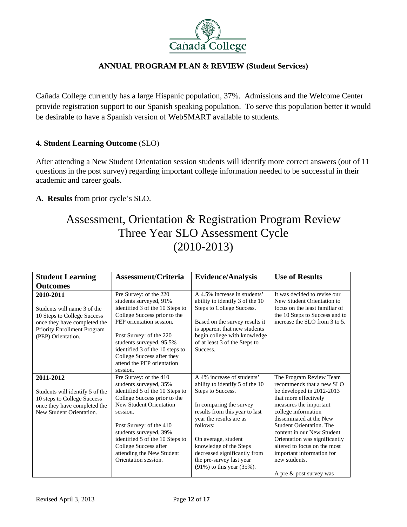

Cañada College currently has a large Hispanic population, 37%. Admissions and the Welcome Center provide registration support to our Spanish speaking population. To serve this population better it would be desirable to have a Spanish version of WebSMART available to students.

# **4. Student Learning Outcome** (SLO)

After attending a New Student Orientation session students will identify more correct answers (out of 11 questions in the post survey) regarding important college information needed to be successful in their academic and career goals.

**A**. **Results** from prior cycle's SLO.

# Assessment, Orientation & Registration Program Review Three Year SLO Assessment Cycle (2010-2013)

| <b>Student Learning</b>                                                                                                                                      | <b>Assessment/Criteria</b>                                                                                                                                                                                                                                                                                                              | <b>Evidence/Analysis</b>                                                                                                                                                                                                                                                                                                                | <b>Use of Results</b>                                                                                                                                                                                                                                                                                                                                                                             |
|--------------------------------------------------------------------------------------------------------------------------------------------------------------|-----------------------------------------------------------------------------------------------------------------------------------------------------------------------------------------------------------------------------------------------------------------------------------------------------------------------------------------|-----------------------------------------------------------------------------------------------------------------------------------------------------------------------------------------------------------------------------------------------------------------------------------------------------------------------------------------|---------------------------------------------------------------------------------------------------------------------------------------------------------------------------------------------------------------------------------------------------------------------------------------------------------------------------------------------------------------------------------------------------|
| <b>Outcomes</b>                                                                                                                                              |                                                                                                                                                                                                                                                                                                                                         |                                                                                                                                                                                                                                                                                                                                         |                                                                                                                                                                                                                                                                                                                                                                                                   |
| 2010-2011<br>Students will name 3 of the<br>10 Steps to College Success<br>once they have completed the<br>Priority Enrollment Program<br>(PEP) Orientation. | Pre Survey: of the 220<br>students surveyed, 91%<br>identified 3 of the 10 Steps to<br>College Success prior to the<br>PEP orientation session.<br>Post Survey: of the 220<br>students surveyed, 95.5%<br>identified 3 of the 10 steps to<br>College Success after they<br>attend the PEP orientation<br>session.                       | A 4.5% increase in students'<br>ability to identify 3 of the 10<br>Steps to College Success.<br>Based on the survey results it<br>is apparent that new students<br>begin college with knowledge<br>of at least 3 of the Steps to<br>Success.                                                                                            | It was decided to revise our<br>New Student Orientation to<br>focus on the least familiar of<br>the 10 Steps to Success and to<br>increase the SLO from 3 to 5.                                                                                                                                                                                                                                   |
| 2011-2012<br>Students will identify 5 of the<br>10 steps to College Success<br>once they have completed the<br>New Student Orientation.                      | Pre Survey: of the 410<br>students surveyed, 35%<br>identified 5 of the 10 Steps to<br>College Success prior to the<br><b>New Student Orientation</b><br>session.<br>Post Survey: of the 410<br>students surveyed, 39%<br>identified 5 of the 10 Steps to<br>College Success after<br>attending the New Student<br>Orientation session. | A 4% increase of students'<br>ability to identify 5 of the 10<br>Steps to Success.<br>In comparing the survey<br>results from this year to last<br>year the results are as<br>follows:<br>On average, student<br>knowledge of the Steps<br>decreased significantly from<br>the pre-survey last year<br>$(91\%)$ to this year $(35\%)$ . | The Program Review Team<br>recommends that a new SLO<br>be developed in 2012-2013<br>that more effectively<br>measures the important<br>college information<br>disseminated at the New<br><b>Student Orientation. The</b><br>content in our New Student<br>Orientation was significantly<br>altered to focus on the most<br>important information for<br>new students.<br>A pre & post survey was |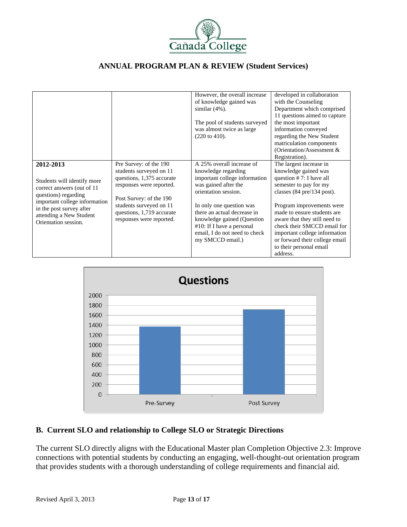

|                                                                                                              |                                                                                                                                       | However, the overall increase<br>of knowledge gained was<br>similar $(4\%)$ .                                                                                               | developed in collaboration<br>with the Counseling<br>Department which comprised                                                                                                                                                    |
|--------------------------------------------------------------------------------------------------------------|---------------------------------------------------------------------------------------------------------------------------------------|-----------------------------------------------------------------------------------------------------------------------------------------------------------------------------|------------------------------------------------------------------------------------------------------------------------------------------------------------------------------------------------------------------------------------|
|                                                                                                              |                                                                                                                                       | The pool of students surveyed<br>was almost twice as large<br>$(220 \text{ to } 410).$                                                                                      | 11 questions aimed to capture<br>the most important<br>information conveyed<br>regarding the New Student<br>matriculation components<br>(Orientation/Assessment &<br>Registration).                                                |
| 2012-2013<br>Students will identify more<br>correct answers (out of 11)<br>questions) regarding              | Pre Survey: of the 190<br>students surveyed on 11<br>questions, 1,375 accurate<br>responses were reported.<br>Post Survey: of the 190 | A 25% overall increase of<br>knowledge regarding<br>important college information<br>was gained after the<br>orientation session.                                           | The largest increase in<br>knowledge gained was<br>question $# 7$ : I have all<br>semester to pay for my<br>classes $(84 \text{ pre}/134 \text{ post})$ .                                                                          |
| important college information<br>in the post survey after<br>attending a New Student<br>Orientation session. | students surveyed on 11<br>questions, 1,719 accurate<br>responses were reported.                                                      | In only one question was<br>there an actual decrease in<br>knowledge gained (Question)<br>$#10$ : If I have a personal<br>email, I do not need to check<br>my SMCCD email.) | Program improvements were<br>made to ensure students are<br>aware that they still need to<br>check their SMCCD email for<br>important college information<br>or forward their college email<br>to their personal email<br>address. |



# **B. Current SLO and relationship to College SLO or Strategic Directions**

The current SLO directly aligns with the Educational Master plan Completion Objective 2.3: Improve connections with potential students by conducting an engaging, well-thought-out orientation program that provides students with a thorough understanding of college requirements and financial aid.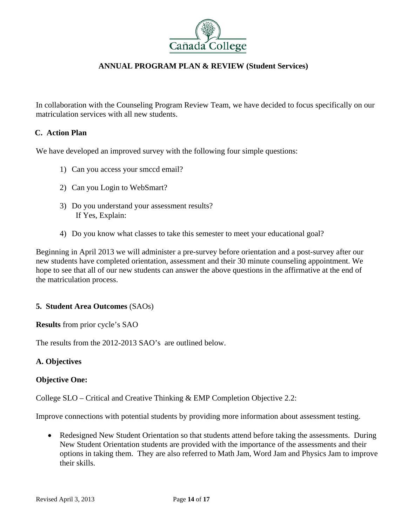

In collaboration with the Counseling Program Review Team, we have decided to focus specifically on our matriculation services with all new students.

## **C. Action Plan**

We have developed an improved survey with the following four simple questions:

- 1) Can you access your smccd email?
- 2) Can you Login to WebSmart?
- 3) Do you understand your assessment results? If Yes, Explain:
- 4) Do you know what classes to take this semester to meet your educational goal?

Beginning in April 2013 we will administer a pre-survey before orientation and a post-survey after our new students have completed orientation, assessment and their 30 minute counseling appointment. We hope to see that all of our new students can answer the above questions in the affirmative at the end of the matriculation process.

#### **5. Student Area Outcomes** (SAOs)

**Results** from prior cycle's SAO

The results from the 2012-2013 SAO's are outlined below.

#### **A. Objectives**

#### **Objective One:**

College SLO – Critical and Creative Thinking & EMP Completion Objective 2.2:

Improve connections with potential students by providing more information about assessment testing.

• Redesigned New Student Orientation so that students attend before taking the assessments. During New Student Orientation students are provided with the importance of the assessments and their options in taking them. They are also referred to Math Jam, Word Jam and Physics Jam to improve their skills.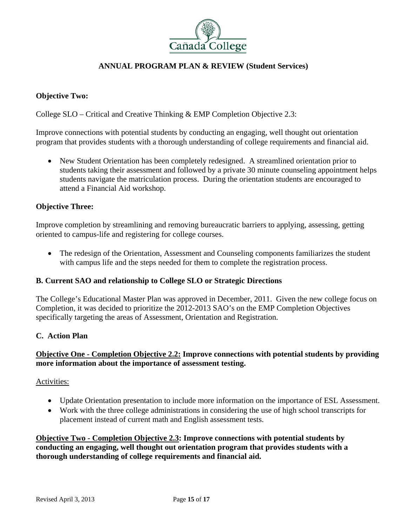

# **Objective Two:**

College SLO – Critical and Creative Thinking & EMP Completion Objective 2.3:

Improve connections with potential students by conducting an engaging, well thought out orientation program that provides students with a thorough understanding of college requirements and financial aid.

 New Student Orientation has been completely redesigned. A streamlined orientation prior to students taking their assessment and followed by a private 30 minute counseling appointment helps students navigate the matriculation process. During the orientation students are encouraged to attend a Financial Aid workshop.

## **Objective Three:**

Improve completion by streamlining and removing bureaucratic barriers to applying, assessing, getting oriented to campus-life and registering for college courses.

• The redesign of the Orientation, Assessment and Counseling components familiarizes the student with campus life and the steps needed for them to complete the registration process.

#### **B. Current SAO and relationship to College SLO or Strategic Directions**

The College's Educational Master Plan was approved in December, 2011. Given the new college focus on Completion, it was decided to prioritize the 2012-2013 SAO's on the EMP Completion Objectives specifically targeting the areas of Assessment, Orientation and Registration.

#### **C. Action Plan**

# **Objective One - Completion Objective 2.2: Improve connections with potential students by providing more information about the importance of assessment testing.**

#### Activities:

- Update Orientation presentation to include more information on the importance of ESL Assessment.
- Work with the three college administrations in considering the use of high school transcripts for placement instead of current math and English assessment tests.

**Objective Two - Completion Objective 2.3: Improve connections with potential students by conducting an engaging, well thought out orientation program that provides students with a thorough understanding of college requirements and financial aid.**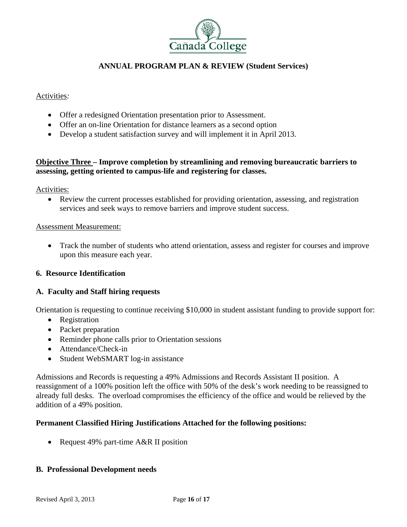

## Activities*:*

- Offer a redesigned Orientation presentation prior to Assessment.
- Offer an on-line Orientation for distance learners as a second option
- Develop a student satisfaction survey and will implement it in April 2013.

# **Objective Three – Improve completion by streamlining and removing bureaucratic barriers to assessing, getting oriented to campus-life and registering for classes.**

Activities:

 Review the current processes established for providing orientation, assessing, and registration services and seek ways to remove barriers and improve student success.

#### Assessment Measurement:

 Track the number of students who attend orientation, assess and register for courses and improve upon this measure each year.

#### **6. Resource Identification**

#### **A. Faculty and Staff hiring requests**

Orientation is requesting to continue receiving \$10,000 in student assistant funding to provide support for:

- Registration
- Packet preparation
- Reminder phone calls prior to Orientation sessions
- Attendance/Check-in
- Student WebSMART log-in assistance

Admissions and Records is requesting a 49% Admissions and Records Assistant II position. A reassignment of a 100% position left the office with 50% of the desk's work needing to be reassigned to already full desks. The overload compromises the efficiency of the office and would be relieved by the addition of a 49% position.

# **Permanent Classified Hiring Justifications Attached for the following positions:**

• Request 49% part-time A&R II position

#### **B. Professional Development needs**